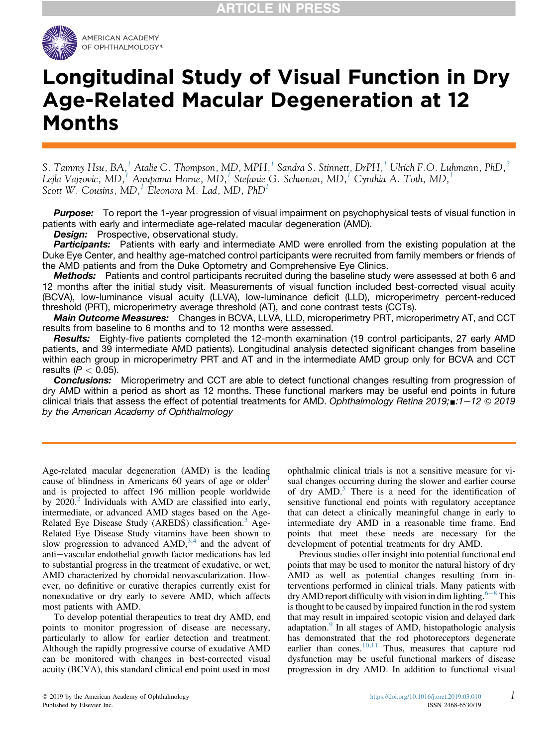

# Longitudinal Study of Visual Function in Dry Age-Related Macular Degeneration at 12 Months

S. Tammy Hsu, BA, $^1$  $^1$  Atalie C. Thompson, MD, MPH, $^1$  Sandra S. Stinnett, DrPH, $^1$  Ulrich F.O. Luhmann, PhD, $^2$ Lejla Vajzovic, MD,<sup>[1](#page-11-0)</sup> Anubama Horne, MD,<sup>1</sup> Stefanie G. Schuman, MD,<sup>1</sup> Cynthia A. Toth, MD,<sup>1</sup> Scott W. Cousins,  $MD$ , Eleonora M. Lad, MD, PhD<sup>[1](#page-11-0)</sup>

**Purpose:** To report the 1-year progression of visual impairment on psychophysical tests of visual function in patients with early and intermediate age-related macular degeneration (AMD).

Design: Prospective, observational study.

**Participants:** Patients with early and intermediate AMD were enrolled from the existing population at the Duke Eye Center, and healthy age-matched control participants were recruited from family members or friends of the AMD patients and from the Duke Optometry and Comprehensive Eye Clinics.

Methods: Patients and control participants recruited during the baseline study were assessed at both 6 and 12 months after the initial study visit. Measurements of visual function included best-corrected visual acuity (BCVA), low-luminance visual acuity (LLVA), low-luminance deficit (LLD), microperimetry percent-reduced threshold (PRT), microperimetry average threshold (AT), and cone contrast tests (CCTs).

**Main Outcome Measures:** Changes in BCVA, LLVA, LLD, microperimetry PRT, microperimetry AT, and CCT results from baseline to 6 months and to 12 months were assessed.

Results: Eighty-five patients completed the 12-month examination (19 control participants, 27 early AMD patients, and 39 intermediate AMD patients). Longitudinal analysis detected significant changes from baseline within each group in microperimetry PRT and AT and in the intermediate AMD group only for BCVA and CCT results ( $P < 0.05$ ).

**Conclusions:** Microperimetry and CCT are able to detect functional changes resulting from progression of dry AMD within a period as short as 12 months. These functional markers may be useful end points in future clinical trials that assess the effect of potential treatments for AMD. Ophthalmology Retina 2019; $\blacksquare$ :1-12  $\heartsuit$  2019 by the American Academy of Ophthalmology

Age-related macular degeneration (AMD) is the leading cause of blindness in Americans 60 years of age or older $<sup>1</sup>$  $<sup>1</sup>$  $<sup>1</sup>$ </sup> and is projected to affect 196 million people worldwide by [2](#page-10-0)020.<sup>2</sup> Individuals with AMD are classified into early, intermediate, or advanced AMD stages based on the Age-Related Eye Disease Study (AREDS) classification.<sup>[3](#page-10-0)</sup> Age-Related Eye Disease Study vitamins have been shown to slow progression to advanced  $AMD$ ,<sup>[3,4](#page-10-0)</sup> and the advent of anti-vascular endothelial growth factor medications has led to substantial progress in the treatment of exudative, or wet, AMD characterized by choroidal neovascularization. However, no definitive or curative therapies currently exist for nonexudative or dry early to severe AMD, which affects most patients with AMD.

To develop potential therapeutics to treat dry AMD, end points to monitor progression of disease are necessary, particularly to allow for earlier detection and treatment. Although the rapidly progressive course of exudative AMD can be monitored with changes in best-corrected visual acuity (BCVA), this standard clinical end point used in most

ophthalmic clinical trials is not a sensitive measure for visual changes occurring during the slower and earlier course of dry  $AMD$ .<sup>[5](#page-10-0)</sup> There is a need for the identification of sensitive functional end points with regulatory acceptance that can detect a clinically meaningful change in early to intermediate dry AMD in a reasonable time frame. End points that meet these needs are necessary for the development of potential treatments for dry AMD.

Previous studies offer insight into potential functional end points that may be used to monitor the natural history of dry AMD as well as potential changes resulting from interventions performed in clinical trials. Many patients with dry AMD report difficulty with vision in dim lighting.  $6-8$  $6-8$  $6-8$  This is thought to be caused by impaired function in the rod system that may result in impaired scotopic vision and delayed dark adaptation.<sup>[9](#page-10-0)</sup> In all stages of AMD, histopathologic analysis has demonstrated that the rod photoreceptors degenerate earlier than cones. $\frac{10,11}{10,11}$  $\frac{10,11}{10,11}$  $\frac{10,11}{10,11}$  Thus, measures that capture rod dysfunction may be useful functional markers of disease progression in dry AMD. In addition to functional visual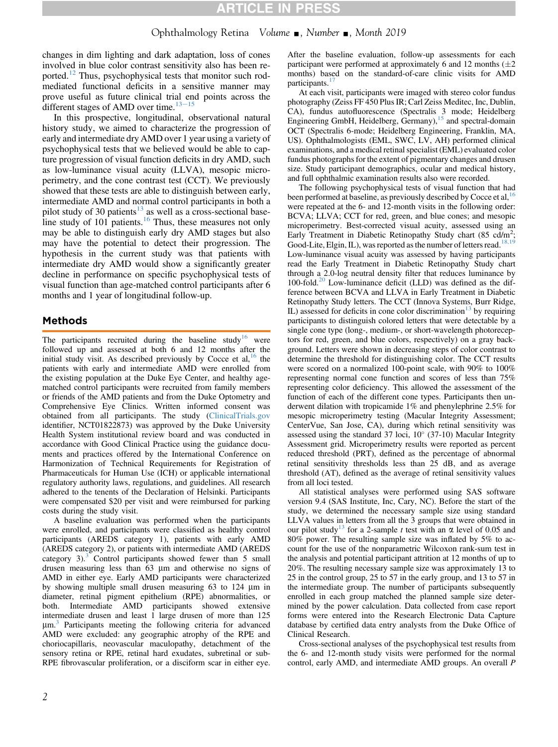### Ophthalmology Retina Volume  $\blacksquare$ , Number  $\blacksquare$ , Month 2019

changes in dim lighting and dark adaptation, loss of cones involved in blue color contrast sensitivity also has been re-ported.<sup>[12](#page-11-0)</sup> Thus, psychophysical tests that monitor such rodmediated functional deficits in a sensitive manner may prove useful as future clinical trial end points across the different stages of AMD over time.<sup>[13](#page-11-0)–[15](#page-11-0)</sup>

In this prospective, longitudinal, observational natural history study, we aimed to characterize the progression of early and intermediate dry AMD over 1 year using a variety of psychophysical tests that we believed would be able to capture progression of visual function deficits in dry AMD, such as low-luminance visual acuity (LLVA), mesopic microperimetry, and the cone contrast test (CCT). We previously showed that these tests are able to distinguish between early, intermediate AMD and normal control participants in both a pilot study of 30 patients<sup>[13](#page-11-0)</sup> as well as a cross-sectional base-line study of 101 patients.<sup>[16](#page-11-0)</sup> Thus, these measures not only may be able to distinguish early dry AMD stages but also may have the potential to detect their progression. The hypothesis in the current study was that patients with intermediate dry AMD would show a significantly greater decline in performance on specific psychophysical tests of visual function than age-matched control participants after 6 months and 1 year of longitudinal follow-up.

### Methods

The participants recruited during the baseline study<sup>[16](#page-11-0)</sup> were followed up and assessed at both 6 and 12 months after the initial study visit. As described previously by Cocce et al,  $16$  the patients with early and intermediate AMD were enrolled from the existing population at the Duke Eye Center, and healthy agematched control participants were recruited from family members or friends of the AMD patients and from the Duke Optometry and Comprehensive Eye Clinics. Written informed consent was obtained from all participants. The study [\(ClinicalTrials.gov](http://ClinicalTrials.gov) identifier, NCT01822873) was approved by the Duke University Health System institutional review board and was conducted in accordance with Good Clinical Practice using the guidance documents and practices offered by the International Conference on Harmonization of Technical Requirements for Registration of Pharmaceuticals for Human Use (ICH) or applicable international regulatory authority laws, regulations, and guidelines. All research adhered to the tenents of the Declaration of Helsinki. Participants were compensated \$20 per visit and were reimbursed for parking costs during the study visit.

A baseline evaluation was performed when the participants were enrolled, and participants were classified as healthy control participants (AREDS category 1), patients with early AMD (AREDS category 2), or patients with intermediate AMD (AREDS category  $3$ ).<sup>3</sup> Control participants showed fewer than  $5$  small drusen measuring less than  $63 \mu m$  and otherwise no signs of AMD in either eye. Early AMD participants were characterized by showing multiple small drusen measuring  $63$  to  $124 \mu m$  in diameter, retinal pigment epithelium (RPE) abnormalities, or both. Intermediate AMD participants showed extensive intermediate drusen and least  $\hat{1}$  large drusen of more than 125  $\mu$ m.<sup>[3](#page-10-0)</sup> Participants meeting the following criteria for advanced AMD were excluded: any geographic atrophy of the RPE and choriocapillaris, neovascular maculopathy, detachment of the sensory retina or RPE, retinal hard exudates, subretinal or sub-RPE fibrovascular proliferation, or a disciform scar in either eye.

After the baseline evaluation, follow-up assessments for each participant were performed at approximately 6 and 12 months  $(\pm 2)$ months) based on the standard-of-care clinic visits for AMD participants.<sup>[17](#page-11-0)</sup>

At each visit, participants were imaged with stereo color fundus photography (Zeiss FF 450 Plus IR; Carl Zeiss Meditec, Inc, Dublin, CA), fundus autofluorescence (Spectralis 3 mode; Heidelberg Engineering GmbH, Heidelberg, Germany),<sup>[15](#page-11-0)</sup> and spectral-domain OCT (Spectralis 6-mode; Heidelberg Engineering, Franklin, MA, US). Ophthalmologists (EML, SWC, LV, AH) performed clinical examinations, and a medical retinal specialist (EML) evaluated color fundus photographs for the extent of pigmentary changes and drusen size. Study participant demographics, ocular and medical history, and full ophthalmic examination results also were recorded.

The following psychophysical tests of visual function that had been performed at baseline, as previously described by Cocce et al,  $16$ were repeated at the 6- and 12-month visits in the following order: BCVA; LLVA; CCT for red, green, and blue cones; and mesopic microperimetry. Best-corrected visual acuity, assessed using an Early Treatment in Diabetic Retinopathy Study chart (85 cd/m<sup>2</sup>; Good-Lite, Elgin, IL), was reported as the number of letters read.<sup>[18,19](#page-11-0)</sup> Low-luminance visual acuity was assessed by having participants read the Early Treatment in Diabetic Retinopathy Study chart through a 2.0-log neutral density filter that reduces luminance by 100-fold.<sup>20</sup> Low-luminance deficit (LLD) was defined as the difference between BCVA and LLVA in Early Treatment in Diabetic Retinopathy Study letters. The CCT (Innova Systems, Burr Ridge, IL) assessed for deficits in cone color discrimination<sup>[13](#page-11-0)</sup> by requiring participants to distinguish colored letters that were detectable by a single cone type (long-, medium-, or short-wavelength photoreceptors for red, green, and blue colors, respectively) on a gray background. Letters were shown in decreasing steps of color contrast to determine the threshold for distinguishing color. The CCT results were scored on a normalized 100-point scale, with 90% to 100% representing normal cone function and scores of less than 75% representing color deficiency. This allowed the assessment of the function of each of the different cone types. Participants then underwent dilation with tropicamide 1% and phenylephrine 2.5% for mesopic microperimetry testing (Macular Integrity Assessment; CenterVue, San Jose, CA), during which retinal sensitivity was assessed using the standard 37 loci,  $10^{\circ}$  (37-10) Macular Integrity Assessment grid. Microperimetry results were reported as percent reduced threshold (PRT), defined as the percentage of abnormal retinal sensitivity thresholds less than 25 dB, and as average threshold (AT), defined as the average of retinal sensitivity values from all loci tested.

All statistical analyses were performed using SAS software version 9.4 (SAS Institute, Inc, Cary, NC). Before the start of the study, we determined the necessary sample size using standard LLVA values in letters from all the 3 groups that were obtained in our pilot study<sup>[13](#page-11-0)</sup> for a 2-sample t test with an  $\alpha$  level of 0.05 and 80% power. The resulting sample size was inflated by 5% to account for the use of the nonparametric Wilcoxon rank-sum test in the analysis and potential participant attrition at 12 months of up to 20%. The resulting necessary sample size was approximately 13 to 25 in the control group, 25 to 57 in the early group, and 13 to 57 in the intermediate group. The number of participants subsequently enrolled in each group matched the planned sample size determined by the power calculation. Data collected from case report forms were entered into the Research Electronic Data Capture database by certified data entry analysts from the Duke Office of Clinical Research.

Cross-sectional analyses of the psychophysical test results from the 6- and 12-month study visits were performed for the normal control, early AMD, and intermediate AMD groups. An overall P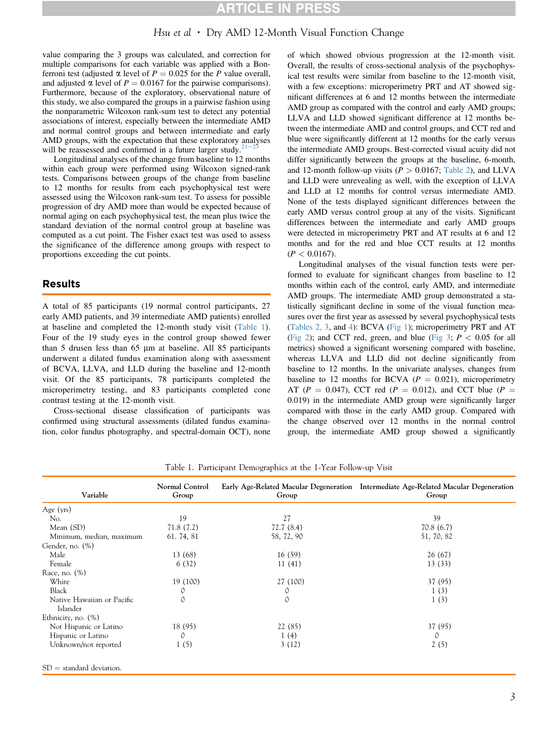### Hsu et al • Dry AMD 12-Month Visual Function Change

value comparing the 3 groups was calculated, and correction for multiple comparisons for each variable was applied with a Bonferroni test (adjusted  $\alpha$  level of  $P = 0.025$  for the P value overall, and adjusted  $\alpha$  level of  $P = 0.0167$  for the pairwise comparisons). Furthermore, because of the exploratory, observational nature of this study, we also compared the groups in a pairwise fashion using the nonparametric Wilcoxon rank-sum test to detect any potential associations of interest, especially between the intermediate AMD and normal control groups and between intermediate and early AMD groups, with the expectation that these exploratory analyses will be reassessed and confirmed in a future larger study.<sup>2</sup>

Longitudinal analyses of the change from baseline to 12 months within each group were performed using Wilcoxon signed-rank tests. Comparisons between groups of the change from baseline to 12 months for results from each psychophysical test were assessed using the Wilcoxon rank-sum test. To assess for possible progression of dry AMD more than would be expected because of normal aging on each psychophysical test, the mean plus twice the standard deviation of the normal control group at baseline was computed as a cut point. The Fisher exact test was used to assess the significance of the difference among groups with respect to proportions exceeding the cut points.

### Results

A total of 85 participants (19 normal control participants, 27 early AMD patients, and 39 intermediate AMD patients) enrolled at baseline and completed the 12-month study visit (Table 1). Four of the 19 study eyes in the control group showed fewer than  $5$  drusen less than  $65 \mu m$  at baseline. All  $85$  participants underwent a dilated fundus examination along with assessment of BCVA, LLVA, and LLD during the baseline and 12-month visit. Of the 85 participants, 78 participants completed the microperimetry testing, and 83 participants completed cone contrast testing at the 12-month visit.

Cross-sectional disease classification of participants was confirmed using structural assessments (dilated fundus examination, color fundus photography, and spectral-domain OCT), none of which showed obvious progression at the 12-month visit. Overall, the results of cross-sectional analysis of the psychophysical test results were similar from baseline to the 12-month visit, with a few exceptions: microperimetry PRT and AT showed significant differences at 6 and 12 months between the intermediate AMD group as compared with the control and early AMD groups; LLVA and LLD showed significant difference at 12 months between the intermediate AMD and control groups, and CCT red and blue were significantly different at 12 months for the early versus the intermediate AMD groups. Best-corrected visual acuity did not differ significantly between the groups at the baseline, 6-month, and 12-month follow-up visits ( $P > 0.0167$ ; [Table 2](#page-3-0)), and LLVA and LLD were unrevealing as well, with the exception of LLVA and LLD at 12 months for control versus intermediate AMD. None of the tests displayed significant differences between the early AMD versus control group at any of the visits. Significant differences between the intermediate and early AMD groups were detected in microperimetry PRT and AT results at 6 and 12 months and for the red and blue CCT results at 12 months  $(P < 0.0167)$ .

Longitudinal analyses of the visual function tests were performed to evaluate for significant changes from baseline to 12 months within each of the control, early AMD, and intermediate AMD groups. The intermediate AMD group demonstrated a statistically significant decline in some of the visual function measures over the first year as assessed by several psychophysical tests [\(Tables 2, 3,](#page-3-0) and [4](#page-5-0)): BCVA ([Fig 1\)](#page-6-0); microperimetry PRT and AT [\(Fig 2](#page-7-0)); and CCT red, green, and blue ([Fig 3;](#page-8-0)  $P < 0.05$  for all metrics) showed a significant worsening compared with baseline, whereas LLVA and LLD did not decline significantly from baseline to 12 months. In the univariate analyses, changes from baseline to 12 months for BCVA ( $P = 0.021$ ), microperimetry AT ( $P = 0.047$ ), CCT red ( $P = 0.012$ ), and CCT blue ( $P =$ 0.019) in the intermediate AMD group were significantly larger compared with those in the early AMD group. Compared with the change observed over 12 months in the normal control group, the intermediate AMD group showed a significantly

| Variable                               | Normal Control<br>Group | Group         | Early Age-Related Macular Degeneration Intermediate Age-Related Macular Degeneration<br>Group |
|----------------------------------------|-------------------------|---------------|-----------------------------------------------------------------------------------------------|
| Age $(yrs)$                            |                         |               |                                                                                               |
| No.                                    | 19                      | 27            | 39                                                                                            |
| Mean (SD)                              | 71.8(7.2)               | 72.7(8.4)     | 70.8(6.7)                                                                                     |
| Minimum, median, maximum               | 61.74,81                | 58, 72, 90    | 51, 70, 82                                                                                    |
| Gender, no. (%)                        |                         |               |                                                                                               |
| Male                                   | 13 (68)                 | 16(59)        | 26(67)                                                                                        |
| Female                                 | 6(32)                   | 11(41)        | 13(33)                                                                                        |
| Race, no. (%)                          |                         |               |                                                                                               |
| White                                  | 19 (100)                | 27 (100)      | 37 (95)                                                                                       |
| Black                                  | 0                       | 0             | 1(3)                                                                                          |
| Native Hawaiian or Pacific<br>Islander | 0                       | $\mathcal{O}$ | 1(3)                                                                                          |
| Ethnicity, no. $(\%)$                  |                         |               |                                                                                               |
| Not Hispanic or Latino                 | 18 (95)                 | 22 (85)       | 37 (95)                                                                                       |
| Hispanic or Latino                     | 0                       | 1(4)          | $\Omega$                                                                                      |
| Unknown/not reported                   | 1(5)                    | 3(12)         | 2(5)                                                                                          |
| $SD =$ standard deviation.             |                         |               |                                                                                               |

Table 1. Participant Demographics at the 1-Year Follow-up Visit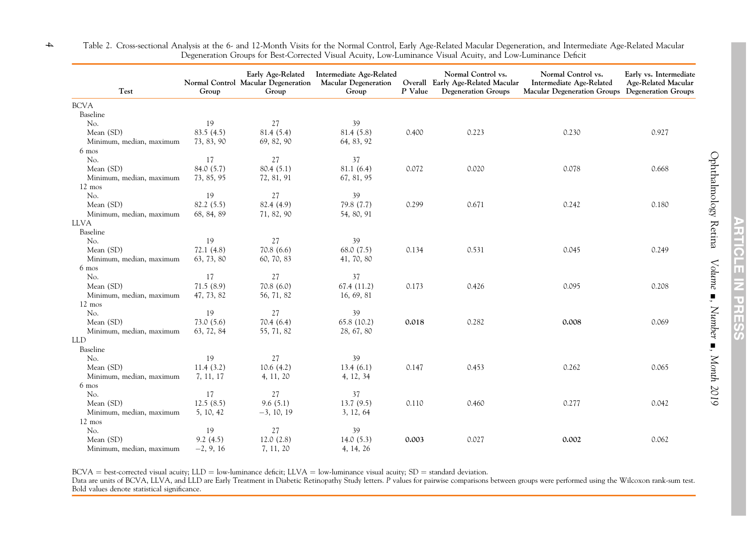| Test                     | Group       | Early Age-Related<br>Normal Control Macular Degeneration<br>Group | Intermediate Age-Related<br><b>Macular Degeneration</b><br>Group | P Value | Normal Control vs.<br>Overall Early Age-Related Macular<br><b>Degeneration Groups</b> | Normal Control vs.<br>Intermediate Age-Related<br>Macular Degeneration Groups Degeneration Groups | Early vs. Intermediate<br>Age-Related Macular |
|--------------------------|-------------|-------------------------------------------------------------------|------------------------------------------------------------------|---------|---------------------------------------------------------------------------------------|---------------------------------------------------------------------------------------------------|-----------------------------------------------|
| <b>BCVA</b>              |             |                                                                   |                                                                  |         |                                                                                       |                                                                                                   |                                               |
| Baseline                 |             |                                                                   |                                                                  |         |                                                                                       |                                                                                                   |                                               |
| No.                      | 19          | 27                                                                | 39                                                               |         |                                                                                       |                                                                                                   |                                               |
| Mean (SD)                | 83.5(4.5)   | 81.4(5.4)                                                         | 81.4 (5.8)                                                       | 0.400   | 0.223                                                                                 | 0.230                                                                                             | 0.927                                         |
| Minimum, median, maximum | 73, 83, 90  | 69, 82, 90                                                        | 64, 83, 92                                                       |         |                                                                                       |                                                                                                   |                                               |
| 6 mos                    |             |                                                                   |                                                                  |         |                                                                                       |                                                                                                   |                                               |
| No.                      | 17          | 27                                                                | 37                                                               |         |                                                                                       |                                                                                                   |                                               |
| Mean (SD)                | 84.0 (5.7)  | 80.4(5.1)                                                         | 81.1 (6.4)                                                       | 0.072   | 0.020                                                                                 | 0.078                                                                                             | 0.668                                         |
| Minimum, median, maximum | 73, 85, 95  | 72, 81, 91                                                        | 67, 81, 95                                                       |         |                                                                                       |                                                                                                   |                                               |
| 12 mos                   |             |                                                                   |                                                                  |         |                                                                                       |                                                                                                   |                                               |
| No.                      | 19          | 27                                                                | 39                                                               |         |                                                                                       |                                                                                                   |                                               |
| Mean (SD)                | 82.2 (5.5)  | 82.4 (4.9)                                                        | 79.8 (7.7)                                                       | 0.299   | 0.671                                                                                 | 0.242                                                                                             | 0.180                                         |
| Minimum, median, maximum | 68, 84, 89  | 71, 82, 90                                                        | 54, 80, 91                                                       |         |                                                                                       |                                                                                                   |                                               |
| <b>LLVA</b>              |             |                                                                   |                                                                  |         |                                                                                       |                                                                                                   |                                               |
| Baseline                 |             |                                                                   |                                                                  |         |                                                                                       |                                                                                                   |                                               |
| No.                      | 19          | 27                                                                | 39                                                               |         |                                                                                       |                                                                                                   |                                               |
| Mean (SD)                | 72.1(4.8)   | 70.8(6.6)                                                         | 68.0(7.5)                                                        | 0.134   | 0.531                                                                                 | 0.045                                                                                             | 0.249                                         |
| Minimum, median, maximum | 63, 73, 80  | 60, 70, 83                                                        | 41, 70, 80                                                       |         |                                                                                       |                                                                                                   |                                               |
| 6 mos                    |             |                                                                   |                                                                  |         |                                                                                       |                                                                                                   |                                               |
| No.                      | 17          | 27                                                                | 37                                                               |         |                                                                                       |                                                                                                   |                                               |
| Mean (SD)                | 71.5(8.9)   | 70.8(6.0)                                                         | 67.4(11.2)                                                       | 0.173   | 0.426                                                                                 | 0.095                                                                                             | 0.208                                         |
| Minimum, median, maximum | 47, 73, 82  | 56, 71, 82                                                        | 16, 69, 81                                                       |         |                                                                                       |                                                                                                   |                                               |
| $12 \text{ mos}$         |             |                                                                   |                                                                  |         |                                                                                       |                                                                                                   |                                               |
| No.                      | 19          | 27                                                                | 39                                                               |         |                                                                                       |                                                                                                   |                                               |
| Mean (SD)                | 73.0(5.6)   | 70.4(6.4)                                                         | 65.8(10.2)                                                       | 0.018   | 0.282                                                                                 | 0.008                                                                                             | 0.069                                         |
| Minimum, median, maximum | 63, 72, 84  | 55, 71, 82                                                        | 28, 67, 80                                                       |         |                                                                                       |                                                                                                   |                                               |
| <b>LLD</b>               |             |                                                                   |                                                                  |         |                                                                                       |                                                                                                   |                                               |
| Baseline                 |             |                                                                   |                                                                  |         |                                                                                       |                                                                                                   |                                               |
| No.                      | 19          | 27                                                                | 39                                                               |         |                                                                                       |                                                                                                   |                                               |
| Mean (SD)                | 11.4(3.2)   | 10.6(4.2)                                                         | 13.4(6.1)                                                        | 0.147   | 0.453                                                                                 | 0.262                                                                                             | 0.065                                         |
| Minimum, median, maximum | 7, 11, 17   | 4, 11, 20                                                         | 4, 12, 34                                                        |         |                                                                                       |                                                                                                   |                                               |
| 6 mos                    |             |                                                                   |                                                                  |         |                                                                                       |                                                                                                   |                                               |
| No.                      | 17          | 27                                                                | 37                                                               |         |                                                                                       |                                                                                                   |                                               |
| Mean (SD)                | 12.5(8.5)   | 9.6(5.1)                                                          | 13.7(9.5)                                                        | 0.110   | 0.460                                                                                 | 0.277                                                                                             | 0.042                                         |
| Minimum, median, maximum | 5, 10, 42   | $-3, 10, 19$                                                      | 3, 12, 64                                                        |         |                                                                                       |                                                                                                   |                                               |
| 12 mos                   |             |                                                                   |                                                                  |         |                                                                                       |                                                                                                   |                                               |
| No.                      | 19          | 27                                                                | 39                                                               |         |                                                                                       |                                                                                                   |                                               |
| Mean (SD)                | 9.2(4.5)    | 12.0(2.8)                                                         | 14.0(5.3)                                                        | 0.003   | 0.027                                                                                 | 0.002                                                                                             | 0.062                                         |
| Minimum, median, maximum | $-2, 9, 16$ | 7, 11, 20                                                         | 4, 14, 26                                                        |         |                                                                                       |                                                                                                   |                                               |

<span id="page-3-0"></span>Table 2. Cross-sectional Analysis at the 6- and 12-Month Visits for the Normal Control, Early Age-Related Macular Degeneration, and Intermediate Age-Related Macular Degeneration Groups for Best-Corrected Visual Acuity, Low-Luminance Visual Acuity, and Low-Luminance Deficit

BCVA = best-corrected visual acuity; LLD = low-luminance deficit; LLVA = low-luminance visual acuity; SD = standard deviation.

Data are units of BCVA, LLVA, and LLD are Early Treatment in Diabetic Retinopathy Study letters. P values for pairwise comparisons between groups were performed using the Wilcoxon rank-sum test. Bold values denote statistical significance.

Ophthalmology Retina

Volume

 $\blacksquare$ . Number

-, Month 2019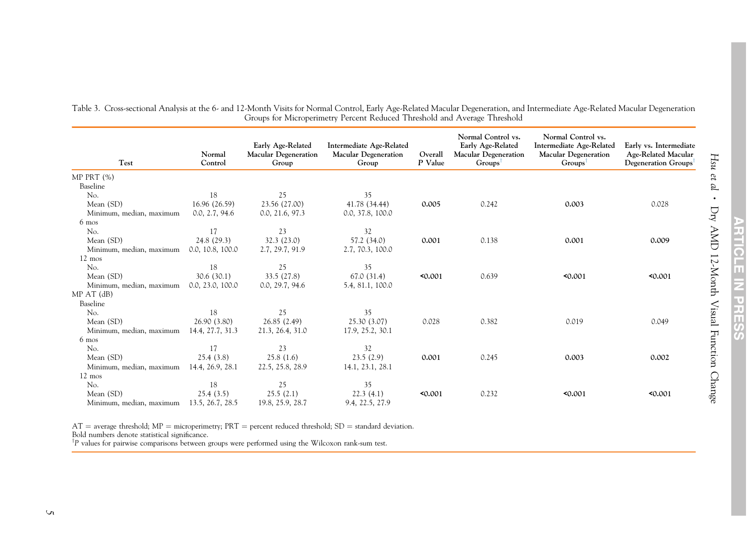| Test                     | Normal<br>Control | Early Age-Related<br><b>Macular Degeneration</b><br>Group | Intermediate Age-Related<br><b>Macular Degeneration</b><br>Group | Overall<br>P Value | Normal Control vs.<br>Early Age-Related<br><b>Macular Degeneration</b><br>$Groups^{\dagger}$ | Normal Control vs.<br>Intermediate Age-Related<br><b>Macular Degeneration</b><br>$Groups$ <sup>1</sup> | Early vs. Intermediate<br>Age-Related Macular<br>Degeneration Groups <sup>†</sup> |
|--------------------------|-------------------|-----------------------------------------------------------|------------------------------------------------------------------|--------------------|----------------------------------------------------------------------------------------------|--------------------------------------------------------------------------------------------------------|-----------------------------------------------------------------------------------|
| MP PRT $(\%)$            |                   |                                                           |                                                                  |                    |                                                                                              |                                                                                                        |                                                                                   |
| Baseline                 |                   |                                                           |                                                                  |                    |                                                                                              |                                                                                                        |                                                                                   |
| No.                      | 18                | 25                                                        | 35                                                               |                    |                                                                                              |                                                                                                        |                                                                                   |
| Mean (SD)                | 16.96 (26.59)     | 23.56 (27.00)                                             | 41.78 (34.44)                                                    | 0.005              | 0.242                                                                                        | 0.003                                                                                                  | 0.028                                                                             |
| Minimum, median, maximum | 0.0, 2.7, 94.6    | 0.0, 21.6, 97.3                                           | 0.0, 37.8, 100.0                                                 |                    |                                                                                              |                                                                                                        |                                                                                   |
| 6 mos                    |                   |                                                           |                                                                  |                    |                                                                                              |                                                                                                        |                                                                                   |
| No.                      | 17                | 23                                                        | 32                                                               |                    |                                                                                              |                                                                                                        |                                                                                   |
| Mean (SD)                | 24.8 (29.3)       | 32.3 (23.0)                                               | 57.2 (34.0)                                                      | 0.001              | 0.138                                                                                        | 0.001                                                                                                  | 0.009                                                                             |
| Minimum, median, maximum | 0.0, 10.8, 100.0  | 2.7, 29.7, 91.9                                           | 2.7, 70.3, 100.0                                                 |                    |                                                                                              |                                                                                                        |                                                                                   |
| $12 \text{ mos}$         |                   |                                                           |                                                                  |                    |                                                                                              |                                                                                                        |                                                                                   |
| No.                      | 18                | 25                                                        | 35                                                               |                    |                                                                                              |                                                                                                        |                                                                                   |
| Mean (SD)                | 30.6 (30.1)       | 33.5 (27.8)                                               | 67.0 (31.4)                                                      | 0.001              | 0.639                                                                                        | 0.001                                                                                                  | 50.001                                                                            |
| Minimum, median, maximum | 0.0, 23.0, 100.0  | 0.0, 29.7, 94.6                                           | 5.4, 81.1, 100.0                                                 |                    |                                                                                              |                                                                                                        |                                                                                   |
| $MPAT$ (dB)              |                   |                                                           |                                                                  |                    |                                                                                              |                                                                                                        |                                                                                   |
| Baseline                 |                   |                                                           |                                                                  |                    |                                                                                              |                                                                                                        |                                                                                   |
| No.                      | 18                | 25                                                        | 35                                                               |                    |                                                                                              |                                                                                                        |                                                                                   |
| Mean (SD)                | 26.90 (3.80)      | 26.85 (2.49)                                              | 25.30 (3.07)                                                     | 0.028              | 0.382                                                                                        | 0.019                                                                                                  | 0.049                                                                             |
| Minimum, median, maximum | 14.4, 27.7, 31.3  | 21.3, 26.4, 31.0                                          | 17.9, 25.2, 30.1                                                 |                    |                                                                                              |                                                                                                        |                                                                                   |
| 6 mos                    |                   |                                                           |                                                                  |                    |                                                                                              |                                                                                                        |                                                                                   |
| No.                      | 17                | 23                                                        | 32                                                               |                    |                                                                                              |                                                                                                        |                                                                                   |
| Mean (SD)                | 25.4(3.8)         | 25.8(1.6)                                                 | 23.5(2.9)                                                        | 0.001              | 0.245                                                                                        | 0.003                                                                                                  | 0.002                                                                             |
| Minimum, median, maximum | 14.4, 26.9, 28.1  | 22.5, 25.8, 28.9                                          | 14.1, 23.1, 28.1                                                 |                    |                                                                                              |                                                                                                        |                                                                                   |
| $12 \text{ mos}$         |                   |                                                           |                                                                  |                    |                                                                                              |                                                                                                        |                                                                                   |
| No.                      | 18                | 25                                                        | 35                                                               |                    |                                                                                              |                                                                                                        |                                                                                   |
| Mean (SD)                | 25.4(3.5)         | 25.5(2.1)                                                 | 22.3(4.1)                                                        | 0.001              | 0.232                                                                                        | 0.001                                                                                                  | 50.001                                                                            |
| Minimum, median, maximum | 13.5, 26.7, 28.5  | 19.8, 25.9, 28.7                                          | 9.4, 22.5, 27.9                                                  |                    |                                                                                              |                                                                                                        |                                                                                   |

<span id="page-4-0"></span>Table 3. Cross-sectional Analysis at the 6- and 12-Month Visits for Normal Control, Early Age-Related Macular Degeneration, and Intermediate Age-Related Macular Degeneration Groups for Microperimetry Percent Reduced Threshold and Average Threshold

 $AT$  = average threshold; MP = microperimetry; PRT = percent reduced threshold; SD = standard deviation. Bold numbers denote statistical significance.

 $^{\dagger}P$  values for pairwise comparisons between groups were performed using the Wilcoxon rank-sum test.

Hsu et al

 $\bullet$ 

Dry AMD 12-Month Visual Function Change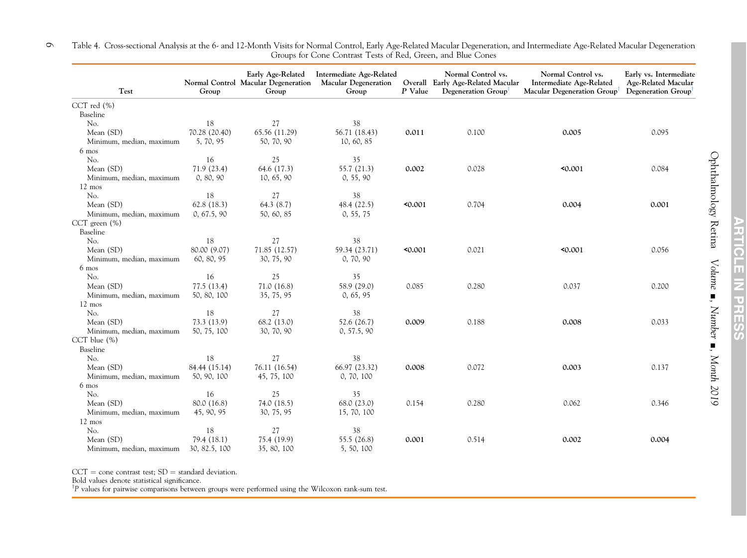| Test                     | Group         | Normal Control Macular Degeneration<br>Group | Early Age-Related Intermediate Age-Related<br><b>Macular Degeneration</b><br>Group | P Value | Normal Control vs.<br>Overall Early Age-Related Macular<br>Degeneration Group | Normal Control vs.<br>Intermediate Age-Related<br>Macular Degeneration Group <sup>†</sup> | Early vs. Intermediate<br>Age-Related Macular<br>Degeneration Group <sup>†</sup> |
|--------------------------|---------------|----------------------------------------------|------------------------------------------------------------------------------------|---------|-------------------------------------------------------------------------------|-------------------------------------------------------------------------------------------|----------------------------------------------------------------------------------|
| CCT red $(\% )$          |               |                                              |                                                                                    |         |                                                                               |                                                                                           |                                                                                  |
| Baseline                 |               |                                              |                                                                                    |         |                                                                               |                                                                                           |                                                                                  |
| No.                      | 18            | 27                                           | 38                                                                                 |         |                                                                               |                                                                                           |                                                                                  |
| Mean (SD)                | 70.28 (20.40) | 65.56 (11.29)                                | 56.71 (18.43)                                                                      | 0.011   | 0.100                                                                         | 0.005                                                                                     | 0.095                                                                            |
| Minimum, median, maximum | 5, 70, 95     | 50, 70, 90                                   | 10, 60, 85                                                                         |         |                                                                               |                                                                                           |                                                                                  |
| 6 mos                    |               |                                              |                                                                                    |         |                                                                               |                                                                                           |                                                                                  |
| No.                      | 16            | 25                                           | 35                                                                                 |         |                                                                               |                                                                                           |                                                                                  |
| Mean (SD)                | 71.9(23.4)    | 64.6 (17.3)                                  | 55.7 (21.3)                                                                        | 0.002   | 0.028                                                                         | 0.001                                                                                     | 0.084                                                                            |
| Minimum, median, maximum | 0, 80, 90     | 10, 65, 90                                   | 0, 55, 90                                                                          |         |                                                                               |                                                                                           |                                                                                  |
| $12 \text{ mos}$         |               |                                              |                                                                                    |         |                                                                               |                                                                                           |                                                                                  |
| No.                      | 18            | 27                                           | 38                                                                                 |         |                                                                               |                                                                                           |                                                                                  |
| Mean (SD)                | 62.8(18.3)    | 64.3 (8.7)                                   | 48.4 (22.5)                                                                        | 0.001   | 0.704                                                                         | 0.004                                                                                     | 0.001                                                                            |
| Minimum, median, maximum | 0, 67.5, 90   | 50, 60, 85                                   | 0, 55, 75                                                                          |         |                                                                               |                                                                                           |                                                                                  |
| CCT green $(\% )$        |               |                                              |                                                                                    |         |                                                                               |                                                                                           |                                                                                  |
| Baseline                 |               |                                              |                                                                                    |         |                                                                               |                                                                                           |                                                                                  |
| No.                      | 18            | 27                                           | 38                                                                                 |         |                                                                               |                                                                                           |                                                                                  |
| Mean (SD)                | 80.00 (9.07)  | 71.85 (12.57)                                | 59.34 (23.71)                                                                      | 0.001   | 0.021                                                                         | 0.001                                                                                     | 0.056                                                                            |
| Minimum, median, maximum | 60, 80, 95    | 30, 75, 90                                   | 0, 70, 90                                                                          |         |                                                                               |                                                                                           |                                                                                  |
| 6 mos                    |               |                                              |                                                                                    |         |                                                                               |                                                                                           |                                                                                  |
| No.                      | 16            | 25                                           | 35                                                                                 |         |                                                                               |                                                                                           |                                                                                  |
| Mean (SD)                | 77.5(13.4)    | 71.0(16.8)                                   | 58.9 (29.0)                                                                        | 0.085   | 0.280                                                                         | 0.037                                                                                     | 0.200                                                                            |
| Minimum, median, maximum | 50, 80, 100   | 35, 75, 95                                   | 0, 65, 95                                                                          |         |                                                                               |                                                                                           |                                                                                  |
| 12 mos                   |               |                                              |                                                                                    |         |                                                                               |                                                                                           |                                                                                  |
| No.                      | 18            | 27                                           | 38                                                                                 |         |                                                                               |                                                                                           |                                                                                  |
| Mean (SD)                | 73.3 (13.9)   | 68.2 (13.0)                                  | 52.6 (26.7)                                                                        | 0.009   | 0.188                                                                         | 0.008                                                                                     | 0.033                                                                            |
| Minimum, median, maximum | 50, 75, 100   | 30, 70, 90                                   | 0, 57.5, 90                                                                        |         |                                                                               |                                                                                           |                                                                                  |
| CCT blue $(\% )$         |               |                                              |                                                                                    |         |                                                                               |                                                                                           |                                                                                  |
| Baseline                 |               |                                              |                                                                                    |         |                                                                               |                                                                                           |                                                                                  |
| No.                      | 18            | 27                                           | 38                                                                                 |         |                                                                               |                                                                                           |                                                                                  |
| Mean (SD)                | 84.44 (15.14) | 76.11 (16.54)                                | 66.97 (23.32)                                                                      | 0.008   | 0.072                                                                         | 0.003                                                                                     | 0.137                                                                            |
| Minimum, median, maximum | 50, 90, 100   | 45, 75, 100                                  | 0, 70, 100                                                                         |         |                                                                               |                                                                                           |                                                                                  |
| 6 mos                    |               |                                              |                                                                                    |         |                                                                               |                                                                                           |                                                                                  |
| No.                      | 16            | 25                                           | 35                                                                                 |         |                                                                               |                                                                                           |                                                                                  |
| Mean (SD)                | 80.0 (16.8)   | 74.0 (18.5)                                  | 68.0 (23.0)                                                                        | 0.154   | 0.280                                                                         | 0.062                                                                                     | 0.346                                                                            |
| Minimum, median, maximum | 45, 90, 95    | 30, 75, 95                                   | 15, 70, 100                                                                        |         |                                                                               |                                                                                           |                                                                                  |
| 12 mos                   |               |                                              |                                                                                    |         |                                                                               |                                                                                           |                                                                                  |
| No.                      | 18            | 27                                           | 38                                                                                 |         |                                                                               |                                                                                           |                                                                                  |
| Mean (SD)                | 79.4(18.1)    | 75.4 (19.9)                                  | 55.5 (26.8)                                                                        | 0.001   | 0.514                                                                         | 0.002                                                                                     | 0.004                                                                            |
| Minimum, median, maximum | 30, 82.5, 100 | 35, 80, 100                                  | 5, 50, 100                                                                         |         |                                                                               |                                                                                           |                                                                                  |

<span id="page-5-0"></span>Table 4. Cross-sectional Analysis at the 6- and 12-Month Visits for Normal Control, Early Age-Related Macular Degeneration, and Intermediate Age-Related Macular Degeneration Groups for Cone Contrast Tests of Red, Green, and Blue Cones  $\circ$ 

 $CCT = \hbox{cone}$  contrast test;  $SD = \hbox{standard}$  deviation.

Bold values denote statistical significance.

 $^{\dagger}P$  values for pairwise comparisons between groups were performed using the Wilcoxon rank-sum test.

Ophthalmology Retina

Volume

 $\blacksquare$ . Number

-, Month 2019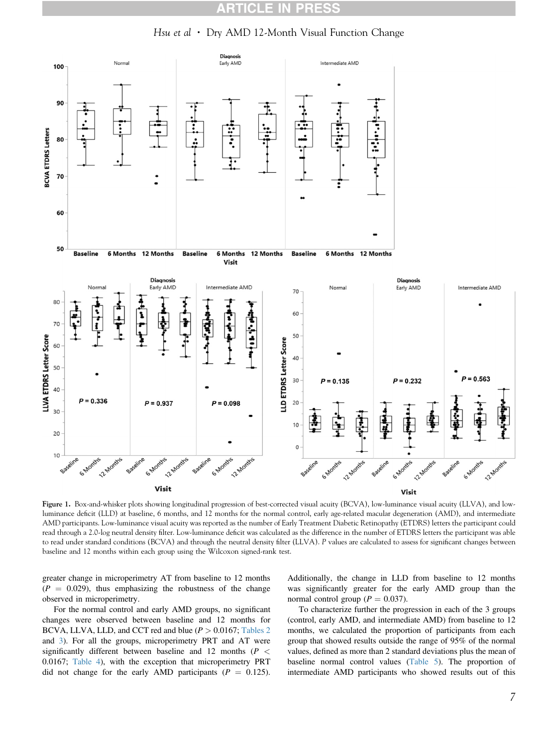#### RT **CLE IN** R

Hsu et al  $\cdot$  Dry AMD 12-Month Visual Function Change

<span id="page-6-0"></span>

Figure 1. Box-and-whisker plots showing longitudinal progression of best-corrected visual acuity (BCVA), low-luminance visual acuity (LLVA), and lowluminance deficit (LLD) at baseline, 6 months, and 12 months for the normal control, early age-related macular degeneration (AMD), and intermediate AMD participants. Low-luminance visual acuity was reported as the number of Early Treatment Diabetic Retinopathy (ETDRS) letters the participant could read through a 2.0-log neutral density filter. Low-luminance deficit was calculated as the difference in the number of ETDRS letters the participant was able to read under standard conditions (BCVA) and through the neutral density filter (LLVA). P values are calculated to assess for significant changes between baseline and 12 months within each group using the Wilcoxon signed-rank test.

greater change in microperimetry AT from baseline to 12 months  $(P = 0.029)$ , thus emphasizing the robustness of the change observed in microperimetry.

For the normal control and early AMD groups, no significant changes were observed between baseline and 12 months for BCVA, LLVA, LLD, and CCT red and blue  $(P > 0.0167$ ; [Tables 2](#page-3-0) and [3](#page-4-0)). For all the groups, microperimetry PRT and AT were significantly different between baseline and 12 months ( $P \leq$ 0.0167; [Table 4](#page-5-0)), with the exception that microperimetry PRT did not change for the early AMD participants ( $P = 0.125$ ).

Additionally, the change in LLD from baseline to 12 months was significantly greater for the early AMD group than the normal control group ( $P = 0.037$ ).

To characterize further the progression in each of the 3 groups (control, early AMD, and intermediate AMD) from baseline to 12 months, we calculated the proportion of participants from each group that showed results outside the range of 95% of the normal values, defined as more than 2 standard deviations plus the mean of baseline normal control values [\(Table 5\)](#page-9-0). The proportion of intermediate AMD participants who showed results out of this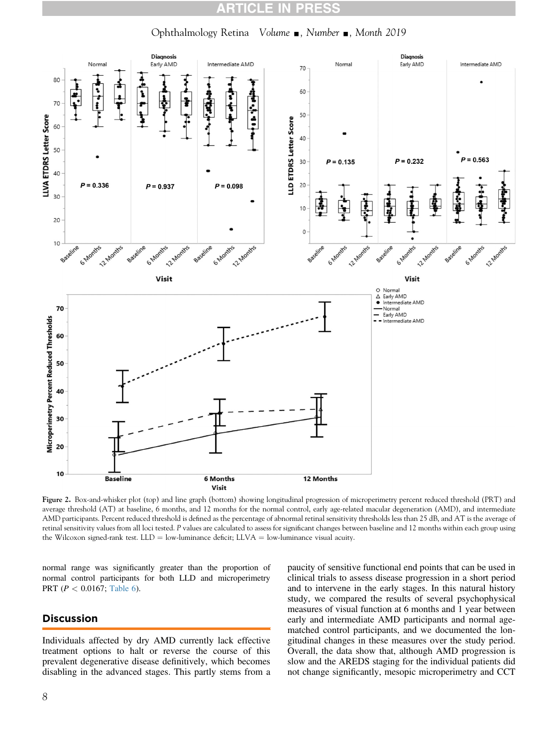#### RT CLE I RES

Ophthalmology Retina Volume , Number , Month 2019

<span id="page-7-0"></span>

Figure 2. Box-and-whisker plot (top) and line graph (bottom) showing longitudinal progression of microperimetry percent reduced threshold (PRT) and average threshold (AT) at baseline, 6 months, and 12 months for the normal control, early age-related macular degeneration (AMD), and intermediate AMD participants. Percent reduced threshold is defined as the percentage of abnormal retinal sensitivity thresholds less than 25 dB, and AT is the average of retinal sensitivity values from all loci tested. P values are calculated to assess for significant changes between baseline and 12 months within each group using the Wilcoxon signed-rank test.  $LLD = low$ -luminance deficit;  $LLVA = low$ -luminance visual acuity.

normal range was significantly greater than the proportion of normal control participants for both LLD and microperimetry PRT ( $P < 0.0167$ ; [Table 6\)](#page-10-0).

### Discussion

Individuals affected by dry AMD currently lack effective treatment options to halt or reverse the course of this prevalent degenerative disease definitively, which becomes disabling in the advanced stages. This partly stems from a

paucity of sensitive functional end points that can be used in clinical trials to assess disease progression in a short period and to intervene in the early stages. In this natural history study, we compared the results of several psychophysical measures of visual function at 6 months and 1 year between early and intermediate AMD participants and normal agematched control participants, and we documented the longitudinal changes in these measures over the study period. Overall, the data show that, although AMD progression is slow and the AREDS staging for the individual patients did not change significantly, mesopic microperimetry and CCT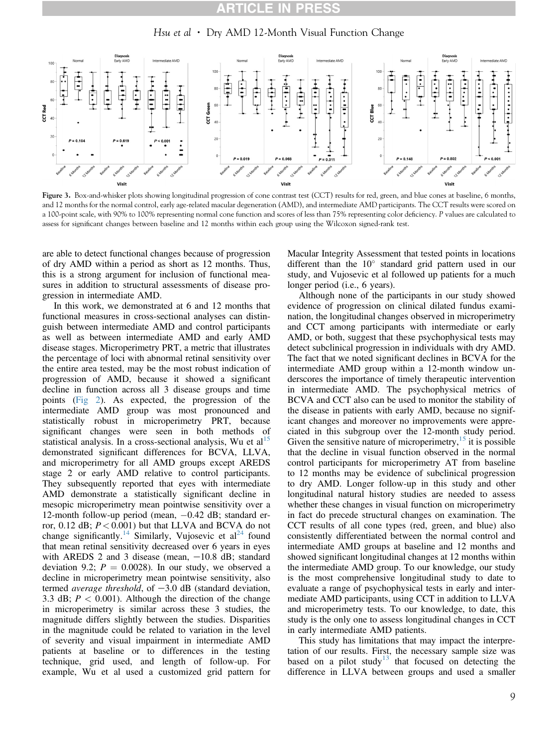### CLE

Hsu et al • Dry AMD 12-Month Visual Function Change

<span id="page-8-0"></span>

Figure 3. Box-and-whisker plots showing longitudinal progression of cone contrast test (CCT) results for red, green, and blue cones at baseline, 6 months, and 12 months for the normal control, early age-related macular degeneration (AMD), and intermediate AMD participants. The CCT results were scored on a 100-point scale, with 90% to 100% representing normal cone function and scores of less than 75% representing color deficiency. P values are calculated to assess for significant changes between baseline and 12 months within each group using the Wilcoxon signed-rank test.

are able to detect functional changes because of progression of dry AMD within a period as short as 12 months. Thus, this is a strong argument for inclusion of functional measures in addition to structural assessments of disease progression in intermediate AMD.

In this work, we demonstrated at 6 and 12 months that functional measures in cross-sectional analyses can distinguish between intermediate AMD and control participants as well as between intermediate AMD and early AMD disease stages. Microperimetry PRT, a metric that illustrates the percentage of loci with abnormal retinal sensitivity over the entire area tested, may be the most robust indication of progression of AMD, because it showed a significant decline in function across all 3 disease groups and time points [\(Fig 2](#page-7-0)). As expected, the progression of the intermediate AMD group was most pronounced and statistically robust in microperimetry PRT, because significant changes were seen in both methods of statistical analysis. In a cross-sectional analysis, Wu et  $al<sup>15</sup>$ demonstrated significant differences for BCVA, LLVA, and microperimetry for all AMD groups except AREDS stage 2 or early AMD relative to control participants. They subsequently reported that eyes with intermediate AMD demonstrate a statistically significant decline in mesopic microperimetry mean pointwise sensitivity over a 12-month follow-up period (mean,  $-0.42$  dB; standard error,  $0.12$  dB;  $P < 0.001$ ) but that LLVA and BCVA do not change significantly.<sup>[14](#page-11-0)</sup> Similarly, Vujosevic et al<sup>24</sup> found that mean retinal sensitivity decreased over 6 years in eyes with AREDS 2 and 3 disease (mean,  $-10.8$  dB; standard deviation 9.2;  $P = 0.0028$ ). In our study, we observed a decline in microperimetry mean pointwise sensitivity, also termed average threshold, of  $-3.0$  dB (standard deviation, 3.3 dB;  $P < 0.001$ ). Although the direction of the change in microperimetry is similar across these 3 studies, the magnitude differs slightly between the studies. Disparities in the magnitude could be related to variation in the level of severity and visual impairment in intermediate AMD patients at baseline or to differences in the testing technique, grid used, and length of follow-up. For example, Wu et al used a customized grid pattern for

Macular Integrity Assessment that tested points in locations different than the  $10^{\circ}$  standard grid pattern used in our study, and Vujosevic et al followed up patients for a much longer period (i.e., 6 years).

Although none of the participants in our study showed evidence of progression on clinical dilated fundus examination, the longitudinal changes observed in microperimetry and CCT among participants with intermediate or early AMD, or both, suggest that these psychophysical tests may detect subclinical progression in individuals with dry AMD. The fact that we noted significant declines in BCVA for the intermediate AMD group within a 12-month window underscores the importance of timely therapeutic intervention in intermediate AMD. The psychophysical metrics of BCVA and CCT also can be used to monitor the stability of the disease in patients with early AMD, because no significant changes and moreover no improvements were appreciated in this subgroup over the 12-month study period. Given the sensitive nature of microperimetry,  $15$  it is possible that the decline in visual function observed in the normal control participants for microperimetry AT from baseline to 12 months may be evidence of subclinical progression to dry AMD. Longer follow-up in this study and other longitudinal natural history studies are needed to assess whether these changes in visual function on microperimetry in fact do precede structural changes on examination. The CCT results of all cone types (red, green, and blue) also consistently differentiated between the normal control and intermediate AMD groups at baseline and 12 months and showed significant longitudinal changes at 12 months within the intermediate AMD group. To our knowledge, our study is the most comprehensive longitudinal study to date to evaluate a range of psychophysical tests in early and intermediate AMD participants, using CCT in addition to LLVA and microperimetry tests. To our knowledge, to date, this study is the only one to assess longitudinal changes in CCT in early intermediate AMD patients.

This study has limitations that may impact the interpretation of our results. First, the necessary sample size was based on a pilot study<sup>[13](#page-11-0)</sup> that focused on detecting the difference in LLVA between groups and used a smaller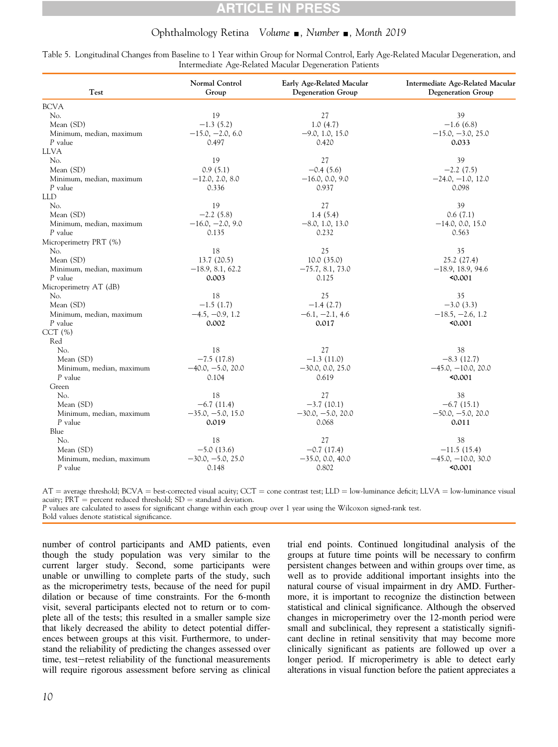## CLE

### Ophthalmology Retina Volume  $\blacksquare$ , Number  $\blacksquare$ , Month 2019

<span id="page-9-0"></span>

| Table 5. Longitudinal Changes from Baseline to 1 Year within Group for Normal Control, Early Age-Related Macular Degeneration, and |  |
|------------------------------------------------------------------------------------------------------------------------------------|--|
| Intermediate Age-Related Macular Degeneration Patients                                                                             |  |

| Test                     | Normal Control<br>Group | Early Age-Related Macular<br><b>Degeneration Group</b> | Intermediate Age-Related Macular<br>Degeneration Group |
|--------------------------|-------------------------|--------------------------------------------------------|--------------------------------------------------------|
| <b>BCVA</b>              |                         |                                                        |                                                        |
| No.                      | 19                      | 27                                                     | 39                                                     |
| Mean (SD)                | $-1.3(5.2)$             | 1.0(4.7)                                               | $-1.6(6.8)$                                            |
| Minimum, median, maximum | $-15.0, -2.0, 6.0$      | $-9.0, 1.0, 15.0$                                      | $-15.0, -3.0, 25.0$                                    |
| P value                  | 0.497                   | 0.420                                                  | 0.033                                                  |
| <b>LLVA</b>              |                         |                                                        |                                                        |
| No.                      | 19                      | 27                                                     | 39                                                     |
| Mean (SD)                | 0.9(5.1)                | $-0.4(5.6)$                                            | $-2.2(7.5)$                                            |
| Minimum, median, maximum | $-12.0, 2.0, 8.0$       | $-16.0, 0.0, 9.0$                                      | $-24.0, -1.0, 12.0$                                    |
| P value                  | 0.336                   | 0.937                                                  | 0.098                                                  |
| <b>LLD</b>               |                         |                                                        |                                                        |
| No.                      | 19                      | 27                                                     | 39                                                     |
| Mean (SD)                | $-2.2(5.8)$             | 1.4(5.4)                                               | 0.6(7.1)                                               |
| Minimum, median, maximum | $-16.0, -2.0, 9.0$      | $-8.0, 1.0, 13.0$                                      | $-14.0, 0.0, 15.0$                                     |
| P value                  | 0.135                   | 0.232                                                  | 0.563                                                  |
| Microperimetry PRT (%)   |                         |                                                        |                                                        |
| No.                      | 18                      | 25                                                     | 35                                                     |
| Mean (SD)                | 13.7(20.5)              | 10.0(35.0)                                             | 25.2(27.4)                                             |
| Minimum, median, maximum | $-18.9, 8.1, 62.2$      | $-75.7, 8.1, 73.0$                                     | $-18.9, 18.9, 94.6$                                    |
| P value                  | 0.003                   | 0.125                                                  | 50.001                                                 |
| Microperimetry AT (dB)   |                         |                                                        |                                                        |
| No.                      | 18                      | 25                                                     | 35                                                     |
| Mean (SD)                | $-1.5(1.7)$             | $-1.4(2.7)$                                            | $-3.0(3.3)$                                            |
| Minimum, median, maximum | $-4.5, -0.9, 1.2$       | $-6.1, -2.1, 4.6$                                      | $-18.5, -2.6, 1.2$                                     |
| P value                  | 0.002                   | 0.017                                                  | 50.001                                                 |
| CCT(%)                   |                         |                                                        |                                                        |
| Red                      |                         |                                                        |                                                        |
| No.                      | 18                      | 27                                                     | 38                                                     |
| Mean (SD)                | $-7.5(17.8)$            | $-1.3(11.0)$                                           | $-8.3(12.7)$                                           |
| Minimum, median, maximum | $-40.0, -5.0, 20.0$     | $-30.0, 0.0, 25.0$                                     | $-45.0, -10.0, 20.0$                                   |
| P value                  | 0.104                   | 0.619                                                  | 0.001                                                  |
| Green                    |                         |                                                        |                                                        |
| No.                      | 18                      | 27                                                     | 38                                                     |
| Mean (SD)                | $-6.7(11.4)$            | $-3.7(10.1)$                                           | $-6.7(15.1)$                                           |
| Minimum, median, maximum | $-35.0, -5.0, 15.0$     | $-30.0, -5.0, 20.0$                                    | $-50.0, -5.0, 20.0$                                    |
| P value                  | 0.019                   | 0.068                                                  | 0.011                                                  |
| Blue                     |                         |                                                        |                                                        |
| No.                      | 18                      | 27                                                     | 38                                                     |
| Mean (SD)                | $-5.0(13.6)$            | $-0.7(17.4)$                                           | $-11.5(15.4)$                                          |
| Minimum, median, maximum | $-30.0, -5.0, 25.0$     | $-35.0, 0.0, 40.0$                                     | $-45.0, -10.0, 30.0$                                   |
| P value                  | 0.148                   | 0.802                                                  | 50.001                                                 |

 $AT =$  average threshold; BCVA = best-corrected visual acuity; CCT = cone contrast test; LLD = low-luminance deficit; LLVA = low-luminance visual acuity;  $PRT$  = percent reduced threshold;  $SD$  = standard deviation.

P values are calculated to assess for significant change within each group over 1 year using the Wilcoxon signed-rank test.

Bold values denote statistical significance.

number of control participants and AMD patients, even though the study population was very similar to the current larger study. Second, some participants were unable or unwilling to complete parts of the study, such as the microperimetry tests, because of the need for pupil dilation or because of time constraints. For the 6-month visit, several participants elected not to return or to complete all of the tests; this resulted in a smaller sample size that likely decreased the ability to detect potential differences between groups at this visit. Furthermore, to understand the reliability of predicting the changes assessed over time, test-retest reliability of the functional measurements will require rigorous assessment before serving as clinical

trial end points. Continued longitudinal analysis of the groups at future time points will be necessary to confirm persistent changes between and within groups over time, as well as to provide additional important insights into the natural course of visual impairment in dry AMD. Furthermore, it is important to recognize the distinction between statistical and clinical significance. Although the observed changes in microperimetry over the 12-month period were small and subclinical, they represent a statistically significant decline in retinal sensitivity that may become more clinically significant as patients are followed up over a longer period. If microperimetry is able to detect early alterations in visual function before the patient appreciates a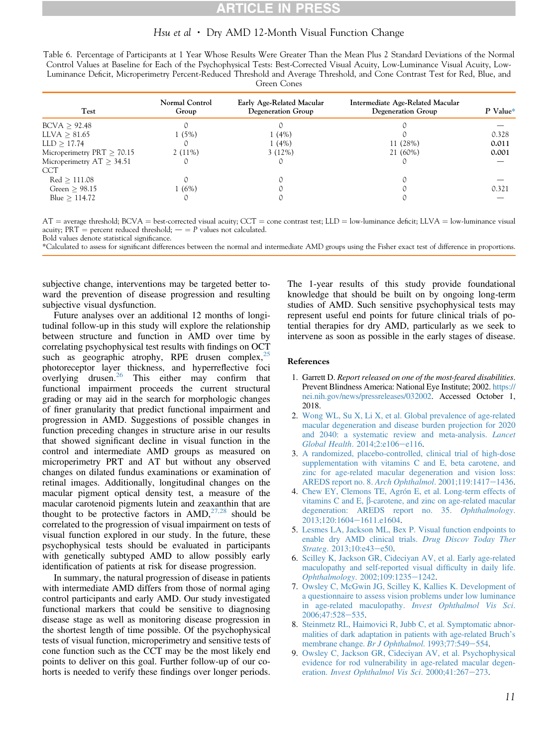## **TICLE IN PRES**

### Hsu et al  $\cdot$  Dry AMD 12-Month Visual Function Change

<span id="page-10-0"></span>Table 6. Percentage of Participants at 1 Year Whose Results Were Greater Than the Mean Plus 2 Standard Deviations of the Normal Control Values at Baseline for Each of the Psychophysical Tests: Best-Corrected Visual Acuity, Low-Luminance Visual Acuity, Low-Luminance Deficit, Microperimetry Percent-Reduced Threshold and Average Threshold, and Cone Contrast Test for Red, Blue, and Green Cones

| Test                         | Normal Control<br>Group | Early Age-Related Macular<br>Degeneration Group | Intermediate Age-Related Macular<br><b>Degeneration Group</b> | P Value* |
|------------------------------|-------------------------|-------------------------------------------------|---------------------------------------------------------------|----------|
| BCVA > 92.48                 |                         |                                                 |                                                               |          |
| LLVA > 81.65                 | $1(5\%)$                | 1(4%)                                           |                                                               | 0.328    |
| LLD > 17.74                  |                         | 1(4%)                                           | 11 (28%)                                                      | 0.011    |
| Microperimetry $PRT > 70.15$ | $2(11\%)$               | $3(12\%)$                                       | 21 (60%)                                                      | 0.001    |
| Microperimetry $AT > 34.51$  |                         |                                                 |                                                               |          |
| CCT                          |                         |                                                 |                                                               |          |
| Red > 111.08                 |                         |                                                 |                                                               |          |
| Green $> 98.15$              | 1(6%)                   |                                                 |                                                               | 0.321    |
| Blue $> 114.72$              |                         |                                                 |                                                               |          |

 $AT$  = average threshold; BCVA = best-corrected visual acuity; CCT = cone contrast test; LLD = low-luminance deficit; LLVA = low-luminance visual acuity;  $PRT$  = percent reduced threshold;  $-$  =  $P$  values not calculated. Bold values denote statistical significance.

\*Calculated to assess for significant differences between the normal and intermediate AMD groups using the Fisher exact test of difference in proportions.

subjective change, interventions may be targeted better toward the prevention of disease progression and resulting subjective visual dysfunction.

Future analyses over an additional 12 months of longitudinal follow-up in this study will explore the relationship between structure and function in AMD over time by correlating psychophysical test results with findings on OCT such as geographic atrophy, RPE drusen complex,  $^{25}$  $^{25}$  $^{25}$ photoreceptor layer thickness, and hyperreflective foci overlying drusen.[26](#page-11-0) This either may confirm that functional impairment proceeds the current structural grading or may aid in the search for morphologic changes of finer granularity that predict functional impairment and progression in AMD. Suggestions of possible changes in function preceding changes in structure arise in our results that showed significant decline in visual function in the control and intermediate AMD groups as measured on microperimetry PRT and AT but without any observed changes on dilated fundus examinations or examination of retinal images. Additionally, longitudinal changes on the macular pigment optical density test, a measure of the macular carotenoid pigments lutein and zeaxanthin that are thought to be protective factors in  $AMD$ ,<sup>[27,28](#page-11-0)</sup> should be correlated to the progression of visual impairment on tests of visual function explored in our study. In the future, these psychophysical tests should be evaluated in participants with genetically subtyped AMD to allow possibly early identification of patients at risk for disease progression.

In summary, the natural progression of disease in patients with intermediate AMD differs from those of normal aging control participants and early AMD. Our study investigated functional markers that could be sensitive to diagnosing disease stage as well as monitoring disease progression in the shortest length of time possible. Of the psychophysical tests of visual function, microperimetry and sensitive tests of cone function such as the CCT may be the most likely end points to deliver on this goal. Further follow-up of our cohorts is needed to verify these findings over longer periods.

The 1-year results of this study provide foundational knowledge that should be built on by ongoing long-term studies of AMD. Such sensitive psychophysical tests may represent useful end points for future clinical trials of potential therapies for dry AMD, particularly as we seek to intervene as soon as possible in the early stages of disease.

#### References

- 1. Garrett D. Report released on one of the most-feared disabilities. Prevent Blindness America: National Eye Institute; 2002. [https://](https://nei.nih.gov/news/pressreleases/032002) [nei.nih.gov/news/pressreleases/032002](https://nei.nih.gov/news/pressreleases/032002). Accessed October 1, 2018.
- 2. [Wong WL, Su X, Li X, et al. Global prevalence of age-related](http://refhub.elsevier.com/S2468-6530(18)30616-X/sref2) [macular degeneration and disease burden projection for 2020](http://refhub.elsevier.com/S2468-6530(18)30616-X/sref2) [and 2040: a systematic review and meta-analysis.](http://refhub.elsevier.com/S2468-6530(18)30616-X/sref2) Lancet [Global Health](http://refhub.elsevier.com/S2468-6530(18)30616-X/sref2). 2014;2:e106-[e116.](http://refhub.elsevier.com/S2468-6530(18)30616-X/sref2)
- 3. [A randomized, placebo-controlled, clinical trial of high-dose](http://refhub.elsevier.com/S2468-6530(18)30616-X/sref3) [supplementation with vitamins C and E, beta carotene, and](http://refhub.elsevier.com/S2468-6530(18)30616-X/sref3) [zinc for age-related macular degeneration and vision loss:](http://refhub.elsevier.com/S2468-6530(18)30616-X/sref3) [AREDS report no. 8.](http://refhub.elsevier.com/S2468-6530(18)30616-X/sref3) Arch Ophthalmol. 2001;119:1417-[1436](http://refhub.elsevier.com/S2468-6530(18)30616-X/sref3).
- 4. [Chew EY, Clemons TE, Agrón E, et al. Long-term effects of](http://refhub.elsevier.com/S2468-6530(18)30616-X/sref4) vitamins C and E,  $\beta$ [-carotene, and zinc on age-related macular](http://refhub.elsevier.com/S2468-6530(18)30616-X/sref4) [degeneration: AREDS report no. 35.](http://refhub.elsevier.com/S2468-6530(18)30616-X/sref4) Ophthalmology. [2013;120:1604](http://refhub.elsevier.com/S2468-6530(18)30616-X/sref4)-[1611.e1604.](http://refhub.elsevier.com/S2468-6530(18)30616-X/sref4)
- 5. [Lesmes LA, Jackson ML, Bex P. Visual function endpoints to](http://refhub.elsevier.com/S2468-6530(18)30616-X/sref5) [enable dry AMD clinical trials.](http://refhub.elsevier.com/S2468-6530(18)30616-X/sref5) Drug Discov Today Ther Strateg[. 2013;10:e43](http://refhub.elsevier.com/S2468-6530(18)30616-X/sref5)-[e50](http://refhub.elsevier.com/S2468-6530(18)30616-X/sref5).
- 6. [Scilley K, Jackson GR, Cideciyan AV, et al. Early age-related](http://refhub.elsevier.com/S2468-6530(18)30616-X/sref6) [maculopathy and self-reported visual dif](http://refhub.elsevier.com/S2468-6530(18)30616-X/sref6)ficulty in daily life. Ophthalmology[. 2002;109:1235](http://refhub.elsevier.com/S2468-6530(18)30616-X/sref6)-[1242](http://refhub.elsevier.com/S2468-6530(18)30616-X/sref6).
- 7. [Owsley C, McGwin JG, Scilley K, Kallies K. Development of](http://refhub.elsevier.com/S2468-6530(18)30616-X/sref7) [a questionnaire to assess vision problems under low luminance](http://refhub.elsevier.com/S2468-6530(18)30616-X/sref7) [in age-related maculopathy.](http://refhub.elsevier.com/S2468-6530(18)30616-X/sref7) Invest Ophthalmol Vis Sci. [2006;47:528](http://refhub.elsevier.com/S2468-6530(18)30616-X/sref7)-[535](http://refhub.elsevier.com/S2468-6530(18)30616-X/sref7).
- 8. [Steinmetz RL, Haimovici R, Jubb C, et al. Symptomatic abnor](http://refhub.elsevier.com/S2468-6530(18)30616-X/sref8)[malities of dark adaptation in patients with age-related Bruch](http://refhub.elsevier.com/S2468-6530(18)30616-X/sref8)'s [membrane change.](http://refhub.elsevier.com/S2468-6530(18)30616-X/sref8) Br J Ophthalmol. 1993;77:549-[554](http://refhub.elsevier.com/S2468-6530(18)30616-X/sref8).
- 9. [Owsley C, Jackson GR, Cideciyan AV, et al. Psychophysical](http://refhub.elsevier.com/S2468-6530(18)30616-X/sref9) [evidence for rod vulnerability in age-related macular degen-](http://refhub.elsevier.com/S2468-6530(18)30616-X/sref9)eration. [Invest Ophthalmol Vis Sci](http://refhub.elsevier.com/S2468-6530(18)30616-X/sref9). 2000;41:267-[273.](http://refhub.elsevier.com/S2468-6530(18)30616-X/sref9)